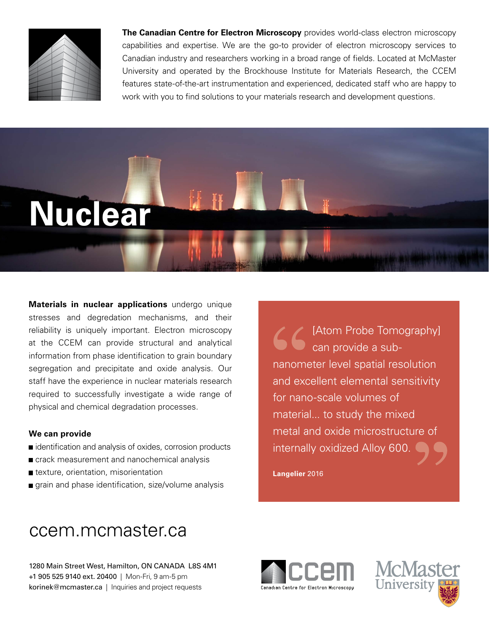

**The Canadian Centre for Electron Microscopy** provides world-class electron microscopy capabilities and expertise. We are the go-to provider of electron microscopy services to Canadian industry and researchers working in a broad range of fields. Located at McMaster University and operated by the Brockhouse Institute for Materials Research, the CCEM features state-of-the-art instrumentation and experienced, dedicated staff who are happy to work with you to find solutions to your materials research and development questions.



**Materials in nuclear applications** undergo unique stresses and degredation mechanisms, and their reliability is uniquely important. Electron microscopy at the CCEM can provide structural and analytical information from phase identification to grain boundary segregation and precipitate and oxide analysis. Our staff have the experience in nuclear materials research required to successfully investigate a wide range of physical and chemical degradation processes.

## **We can provide**

- identification and analysis of oxides, corrosion products
- crack measurement and nanochemical analysis
- **t** texture, orientation, misorientation
- grain and phase identification, size/volume analysis

[Atom Probe Tomography] can provide a subnanometer level spatial resolution and excellent elemental sensitivity for nano-scale volumes of material... to study the mixed metal and oxide microstructure of internally oxidized Alloy 600.

**Langelier** 2016

## ccem.mcmaster.ca

1280 Main Street West, Hamilton, ON CANADA L8S 4M1 +1 905 525 9140 ext. 20400 | Mon-Fri, 9 am-5 pm korinek@mcmaster.ca | Inquiries and project requests